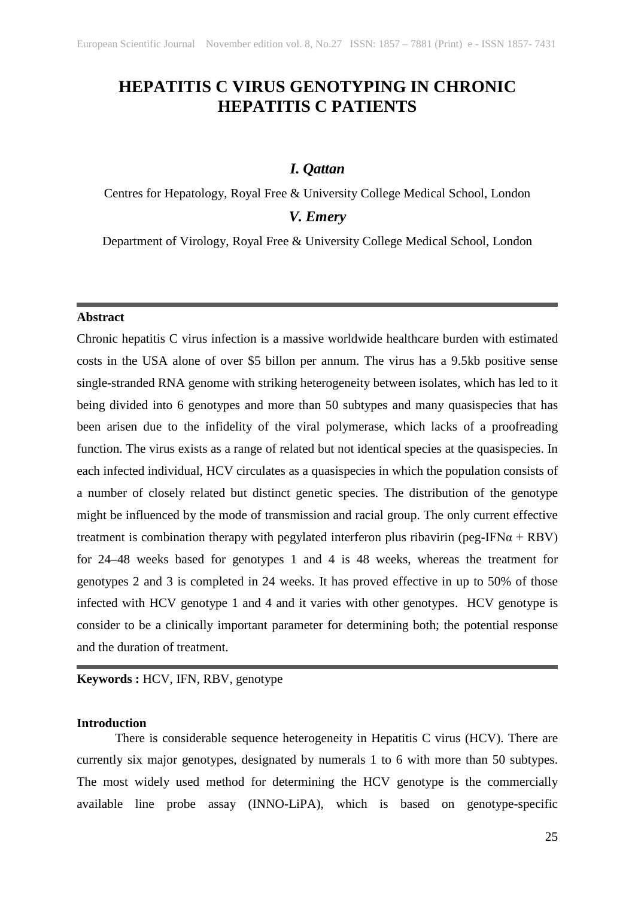# **HEPATITIS C VIRUS GENOTYPING IN CHRONIC HEPATITIS C PATIENTS**

## *I. Qattan*

Centres for Hepatology, Royal Free & University College Medical School, London

## *V. Emery*

Department of Virology, Royal Free & University College Medical School, London

#### **Abstract**

Chronic hepatitis C virus infection is a massive worldwide healthcare burden with estimated costs in the USA alone of over \$5 billon per annum. The virus has a 9.5kb positive sense single-stranded RNA genome with striking heterogeneity between isolates, which has led to it being divided into 6 genotypes and more than 50 subtypes and many quasispecies that has been arisen due to the infidelity of the viral polymerase, which lacks of a proofreading function. The virus exists as a range of related but not identical species at the quasispecies. In each infected individual, HCV circulates as a quasispecies in which the population consists of a number of closely related but distinct genetic species. The distribution of the genotype might be influenced by the mode of transmission and racial group. The only current effective treatment is combination therapy with pegylated interferon plus ribavirin (peg-IFN $\alpha$  + RBV) for 24–48 weeks based for genotypes 1 and 4 is 48 weeks, whereas the treatment for genotypes 2 and 3 is completed in 24 weeks. It has proved effective in up to 50% of those infected with HCV genotype 1 and 4 and it varies with other genotypes. HCV genotype is consider to be a clinically important parameter for determining both; the potential response and the duration of treatment.

**Keywords :** HCV, IFN, RBV, genotype

### **Introduction**

There is considerable sequence heterogeneity in Hepatitis C virus (HCV). There are currently six major genotypes, designated by numerals 1 to 6 with more than 50 subtypes. The most widely used method for determining the HCV genotype is the commercially available line probe assay (INNO-LiPA), which is based on genotype-specific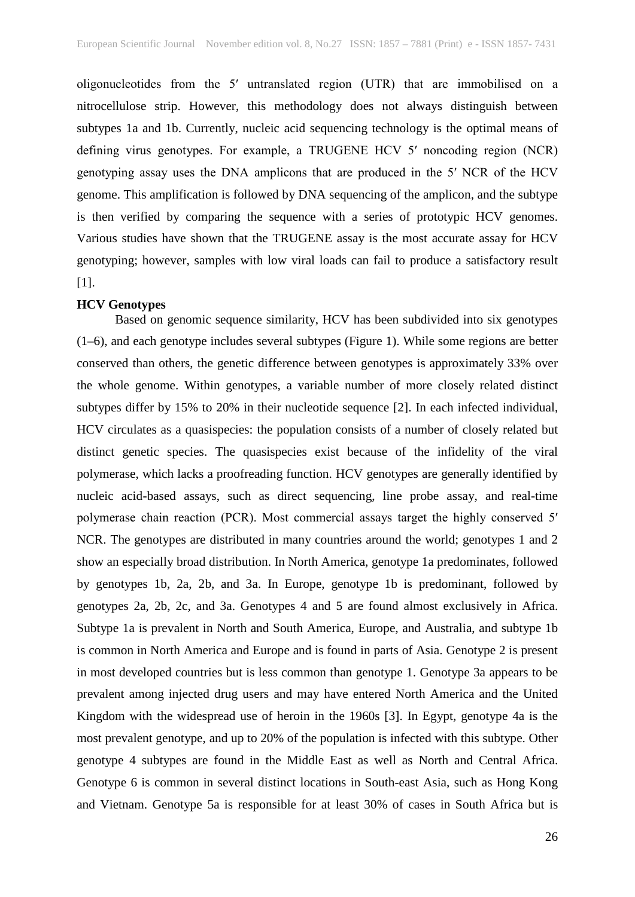oligonucleotides from the 5ʹ untranslated region (UTR) that are immobilised on a nitrocellulose strip. However, this methodology does not always distinguish between subtypes 1a and 1b. Currently, nucleic acid sequencing technology is the optimal means of defining virus genotypes. For example, a TRUGENE HCV 5ʹ noncoding region (NCR) genotyping assay uses the DNA amplicons that are produced in the 5ʹ NCR of the HCV genome. This amplification is followed by DNA sequencing of the amplicon, and the subtype is then verified by comparing the sequence with a series of prototypic HCV genomes. Various studies have shown that the TRUGENE assay is the most accurate assay for HCV genotyping; however, samples with low viral loads can fail to produce a satisfactory result [1].

#### **HCV Genotypes**

Based on genomic sequence similarity, HCV has been subdivided into six genotypes (1–6), and each genotype includes several subtypes (Figure 1). While some regions are better conserved than others, the genetic difference between genotypes is approximately 33% over the whole genome. Within genotypes, a variable number of more closely related distinct subtypes differ by 15% to 20% in their nucleotide sequence [2]. In each infected individual, HCV circulates as a quasispecies: the population consists of a number of closely related but distinct genetic species. The quasispecies exist because of the infidelity of the viral polymerase, which lacks a proofreading function. HCV genotypes are generally identified by nucleic acid-based assays, such as direct sequencing, line probe assay, and real-time polymerase chain reaction (PCR). Most commercial assays target the highly conserved 5ʹ NCR. The genotypes are distributed in many countries around the world; genotypes 1 and 2 show an especially broad distribution. In North America, genotype 1a predominates, followed by genotypes 1b, 2a, 2b, and 3a. In Europe, genotype 1b is predominant, followed by genotypes 2a, 2b, 2c, and 3a. Genotypes 4 and 5 are found almost exclusively in Africa. Subtype 1a is prevalent in North and South America, Europe, and Australia, and subtype 1b is common in North America and Europe and is found in parts of Asia. Genotype 2 is present in most developed countries but is less common than genotype 1. Genotype 3a appears to be prevalent among injected drug users and may have entered North America and the United Kingdom with the widespread use of heroin in the 1960s [3]. In Egypt, genotype 4a is the most prevalent genotype, and up to 20% of the population is infected with this subtype. Other genotype 4 subtypes are found in the Middle East as well as North and Central Africa. Genotype 6 is common in several distinct locations in South-east Asia, such as Hong Kong and Vietnam. Genotype 5a is responsible for at least 30% of cases in South Africa but is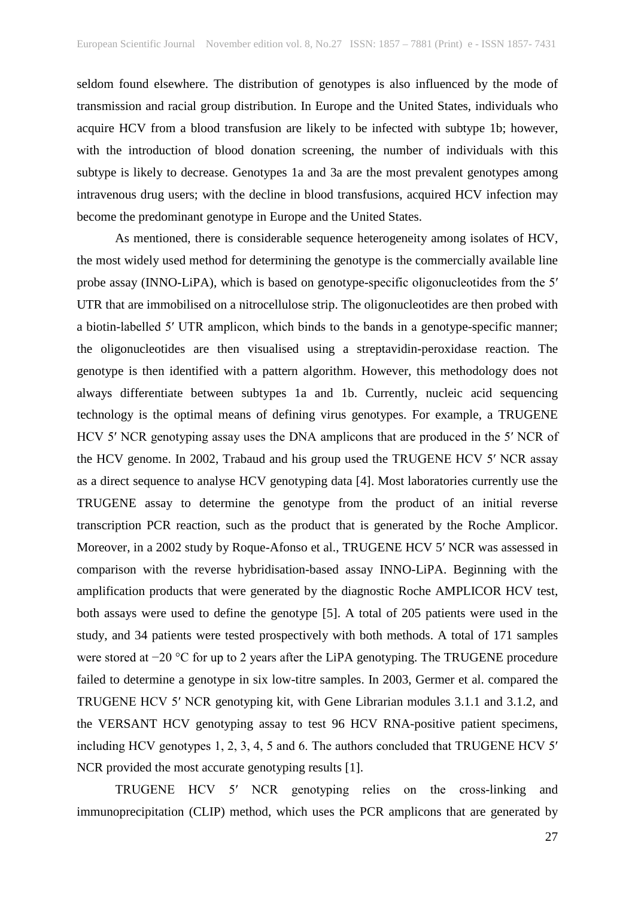seldom found elsewhere. The distribution of genotypes is also influenced by the mode of transmission and racial group distribution. In Europe and the United States, individuals who acquire HCV from a blood transfusion are likely to be infected with subtype 1b; however, with the introduction of blood donation screening, the number of individuals with this subtype is likely to decrease. Genotypes 1a and 3a are the most prevalent genotypes among intravenous drug users; with the decline in blood transfusions, acquired HCV infection may become the predominant genotype in Europe and the United States.

As mentioned, there is considerable sequence heterogeneity among isolates of HCV, the most widely used method for determining the genotype is the commercially available line probe assay (INNO-LiPA), which is based on genotype-specific oligonucleotides from the 5ʹ UTR that are immobilised on a nitrocellulose strip. The oligonucleotides are then probed with a biotin-labelled 5ʹ UTR amplicon, which binds to the bands in a genotype-specific manner; the oligonucleotides are then visualised using a streptavidin-peroxidase reaction. The genotype is then identified with a pattern algorithm. However, this methodology does not always differentiate between subtypes 1a and 1b. Currently, nucleic acid sequencing technology is the optimal means of defining virus genotypes. For example, a TRUGENE HCV 5ʹ NCR genotyping assay uses the DNA amplicons that are produced in the 5ʹ NCR of the HCV genome. In 2002, Trabaud and his group used the TRUGENE HCV 5ʹ NCR assay as a direct sequence to analyse HCV genotyping data [4]. Most laboratories currently use the TRUGENE assay to determine the genotype from the product of an initial reverse transcription PCR reaction, such as the product that is generated by the Roche Amplicor. Moreover, in a 2002 study by Roque-Afonso et al., TRUGENE HCV 5ʹ NCR was assessed in comparison with the reverse hybridisation-based assay INNO-LiPA. Beginning with the amplification products that were generated by the diagnostic Roche AMPLICOR HCV test, both assays were used to define the genotype [5]. A total of 205 patients were used in the study, and 34 patients were tested prospectively with both methods. A total of 171 samples were stored at −20 °C for up to 2 years after the LiPA genotyping. The TRUGENE procedure failed to determine a genotype in six low-titre samples. In 2003, Germer et al. compared the TRUGENE HCV 5ʹ NCR genotyping kit, with Gene Librarian modules 3.1.1 and 3.1.2, and the VERSANT HCV genotyping assay to test 96 HCV RNA-positive patient specimens, including HCV genotypes 1, 2, 3, 4, 5 and 6. The authors concluded that TRUGENE HCV 5ʹ NCR provided the most accurate genotyping results [1].

TRUGENE HCV 5ʹ NCR genotyping relies on the cross-linking and immunoprecipitation (CLIP) method, which uses the PCR amplicons that are generated by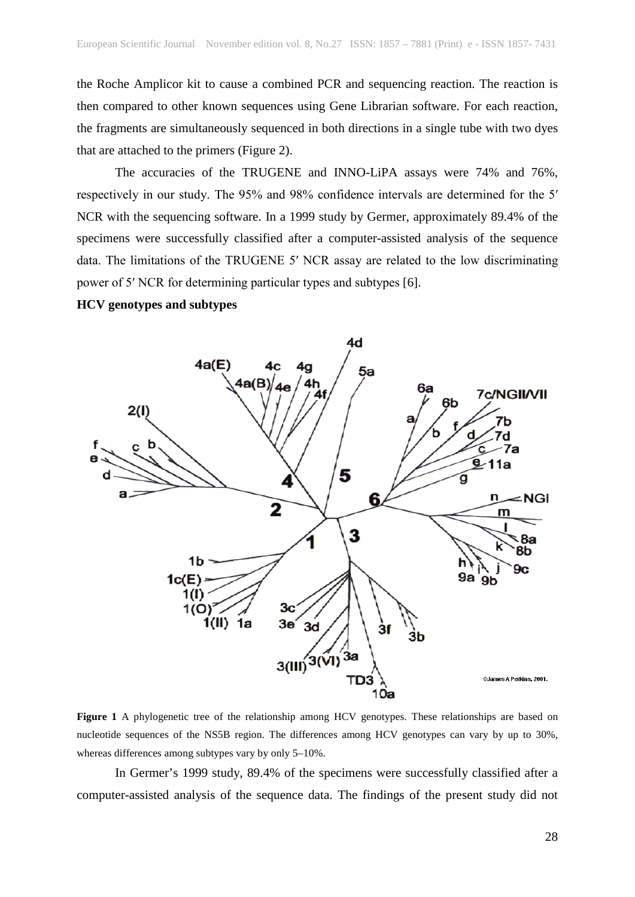the Roche Amplicor kit to cause a combined PCR and sequencing reaction. The reaction is then compared to other known sequences using Gene Librarian software. For each reaction, the fragments are simultaneously sequenced in both directions in a single tube with two dyes that are attached to the primers (Figure 2).

The accuracies of the TRUGENE and INNO-LiPA assays were 74% and 76%, respectively in our study. The 95% and 98% confidence intervals are determined for the 5ʹ NCR with the sequencing software. In a 1999 study by Germer, approximately 89.4% of the specimens were successfully classified after a computer-assisted analysis of the sequence data. The limitations of the TRUGENE 5ʹ NCR assay are related to the low discriminating power of 5ʹ NCR for determining particular types and subtypes [6].

### **HCV genotypes and subtypes**



**Figure 1** A phylogenetic tree of the relationship among HCV genotypes. These relationships are based on nucleotide sequences of the NS5B region. The differences among HCV genotypes can vary by up to 30%, whereas differences among subtypes vary by only 5–10%.

In Germer's 1999 study, 89.4% of the specimens were successfully classified after a computer-assisted analysis of the sequence data. The findings of the present study did not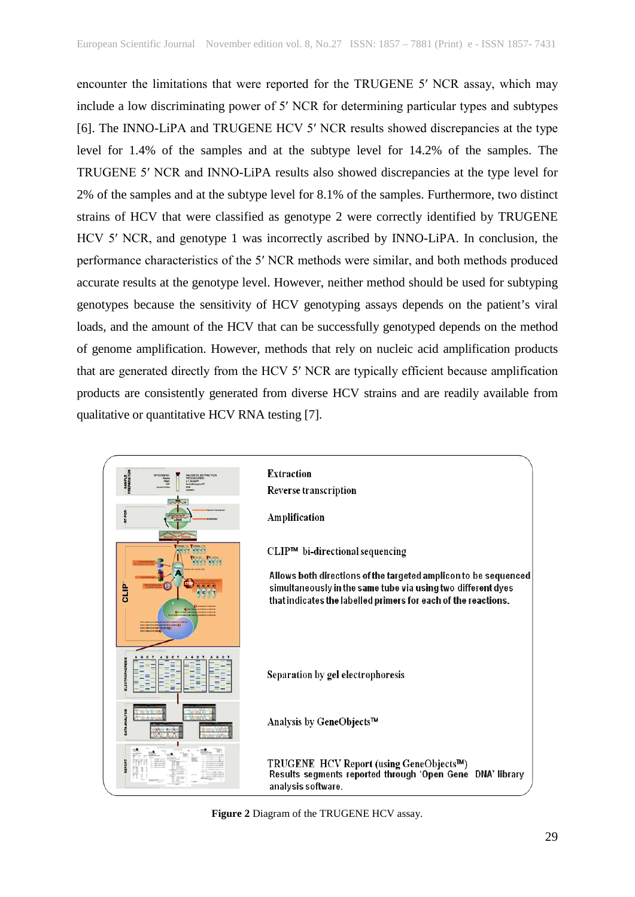encounter the limitations that were reported for the TRUGENE 5ʹ NCR assay, which may include a low discriminating power of 5ʹ NCR for determining particular types and subtypes [6]. The INNO-LiPA and TRUGENE HCV 5ʹ NCR results showed discrepancies at the type level for 1.4% of the samples and at the subtype level for 14.2% of the samples. The TRUGENE 5ʹ NCR and INNO-LiPA results also showed discrepancies at the type level for 2% of the samples and at the subtype level for 8.1% of the samples. Furthermore, two distinct strains of HCV that were classified as genotype 2 were correctly identified by TRUGENE HCV 5ʹ NCR, and genotype 1 was incorrectly ascribed by INNO-LiPA. In conclusion, the performance characteristics of the 5ʹ NCR methods were similar, and both methods produced accurate results at the genotype level. However, neither method should be used for subtyping genotypes because the sensitivity of HCV genotyping assays depends on the patient's viral loads, and the amount of the HCV that can be successfully genotyped depends on the method of genome amplification. However, methods that rely on nucleic acid amplification products that are generated directly from the HCV 5ʹ NCR are typically efficient because amplification products are consistently generated from diverse HCV strains and are readily available from qualitative or quantitative HCV RNA testing [7].



**Figure 2** Diagram of the TRUGENE HCV assay.